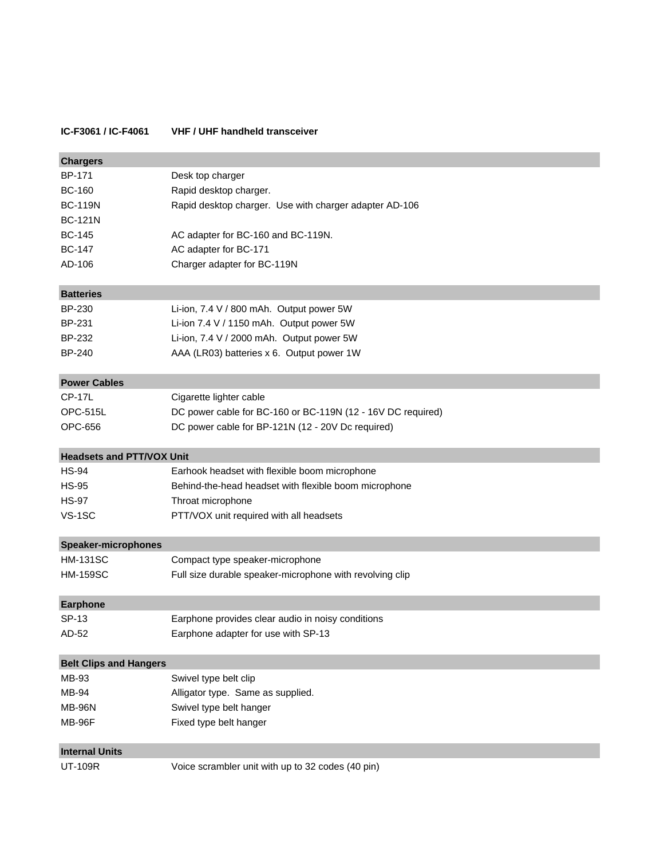## **IC-F3061 / IC-F4061 VHF / UHF handheld transceiver**

| <b>Chargers</b>                  |                                                             |
|----------------------------------|-------------------------------------------------------------|
| BP-171                           | Desk top charger                                            |
| <b>BC-160</b>                    | Rapid desktop charger.                                      |
| <b>BC-119N</b>                   | Rapid desktop charger. Use with charger adapter AD-106      |
| <b>BC-121N</b>                   |                                                             |
| <b>BC-145</b>                    | AC adapter for BC-160 and BC-119N.                          |
| <b>BC-147</b>                    | AC adapter for BC-171                                       |
| AD-106                           | Charger adapter for BC-119N                                 |
| <b>Batteries</b>                 |                                                             |
| BP-230                           | Li-ion, 7.4 V / 800 mAh. Output power 5W                    |
| BP-231                           | Li-ion 7.4 V / 1150 mAh. Output power 5W                    |
| BP-232                           | Li-ion, 7.4 V / 2000 mAh. Output power 5W                   |
| <b>BP-240</b>                    | AAA (LR03) batteries x 6. Output power 1W                   |
| <b>Power Cables</b>              |                                                             |
| <b>CP-17L</b>                    | Cigarette lighter cable                                     |
| <b>OPC-515L</b>                  | DC power cable for BC-160 or BC-119N (12 - 16V DC required) |
| OPC-656                          | DC power cable for BP-121N (12 - 20V Dc required)           |
| <b>Headsets and PTT/VOX Unit</b> |                                                             |
| <b>HS-94</b>                     | Earhook headset with flexible boom microphone               |
| <b>HS-95</b>                     | Behind-the-head headset with flexible boom microphone       |
| <b>HS-97</b>                     | Throat microphone                                           |
| VS-1SC                           | PTT/VOX unit required with all headsets                     |
| <b>Speaker-microphones</b>       |                                                             |
| <b>HM-131SC</b>                  | Compact type speaker-microphone                             |
| <b>HM-159SC</b>                  | Full size durable speaker-microphone with revolving clip    |
| <b>Earphone</b>                  |                                                             |
| SP-13                            | Earphone provides clear audio in noisy conditions           |
| AD-52                            | Earphone adapter for use with SP-13                         |
| <b>Belt Clips and Hangers</b>    |                                                             |
| MB-93                            | Swivel type belt clip                                       |
| MB-94                            | Alligator type. Same as supplied.                           |
| <b>MB-96N</b>                    | Swivel type belt hanger                                     |
| <b>MB-96F</b>                    | Fixed type belt hanger                                      |
| <b>Internal Units</b>            |                                                             |
| <b>UT-109R</b>                   | Voice scrambler unit with up to 32 codes (40 pin)           |